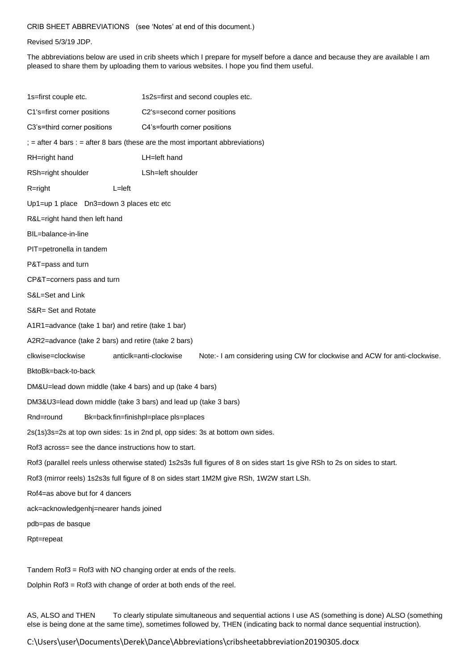## CRIB SHEET ABBREVIATIONS (see 'Notes' at end of this document.)

## Revised 5/3/19 JDP.

The abbreviations below are used in crib sheets which I prepare for myself before a dance and because they are available I am pleased to share them by uploading them to various websites. I hope you find them useful.

| 1s=first couple etc.                                                                                                       | 1s2s=first and second couples etc.                                                                   |
|----------------------------------------------------------------------------------------------------------------------------|------------------------------------------------------------------------------------------------------|
| C1's=first corner positions                                                                                                | C2's=second corner positions                                                                         |
| C3's=third corner positions                                                                                                | C4's=fourth corner positions                                                                         |
| $\mathbf{r}$ = after 4 bars : = after 8 bars (these are the most important abbreviations)                                  |                                                                                                      |
| RH=right hand                                                                                                              | LH=left hand                                                                                         |
| RSh=right shoulder                                                                                                         | LSh=left shoulder                                                                                    |
| $R = right$                                                                                                                | $L = left$                                                                                           |
| Up1=up 1 place Dn3=down 3 places etc etc                                                                                   |                                                                                                      |
| R&L=right hand then left hand                                                                                              |                                                                                                      |
| BIL=balance-in-line                                                                                                        |                                                                                                      |
| PIT=petronella in tandem                                                                                                   |                                                                                                      |
| P&T=pass and turn                                                                                                          |                                                                                                      |
| CP&T=corners pass and turn                                                                                                 |                                                                                                      |
| S&L=Set and Link                                                                                                           |                                                                                                      |
| S&R= Set and Rotate                                                                                                        |                                                                                                      |
| A1R1=advance (take 1 bar) and retire (take 1 bar)                                                                          |                                                                                                      |
| A2R2=advance (take 2 bars) and retire (take 2 bars)                                                                        |                                                                                                      |
| clkwise=clockwise                                                                                                          | anticlk=anti-clockwise<br>Note:- I am considering using CW for clockwise and ACW for anti-clockwise. |
| BktoBk=back-to-back                                                                                                        |                                                                                                      |
| DM&U=lead down middle (take 4 bars) and up (take 4 bars)                                                                   |                                                                                                      |
| DM3&U3=lead down middle (take 3 bars) and lead up (take 3 bars)                                                            |                                                                                                      |
| Rnd=round                                                                                                                  | Bk=back fin=finishpl=place pls=places                                                                |
| 2s(1s)3s=2s at top own sides: 1s in 2nd pl, opp sides: 3s at bottom own sides.                                             |                                                                                                      |
| Rof3 across= see the dance instructions how to start.                                                                      |                                                                                                      |
| Rof3 (parallel reels unless otherwise stated) 1s2s3s full figures of 8 on sides start 1s give RSh to 2s on sides to start. |                                                                                                      |
| Rof3 (mirror reels) 1s2s3s full figure of 8 on sides start 1M2M give RSh, 1W2W start LSh.                                  |                                                                                                      |
| Rof4=as above but for 4 dancers                                                                                            |                                                                                                      |
| ack=acknowledgenhj=nearer hands joined                                                                                     |                                                                                                      |
| pdb=pas de basque                                                                                                          |                                                                                                      |
| Rpt=repeat                                                                                                                 |                                                                                                      |
|                                                                                                                            |                                                                                                      |
| Tandem Rof3 = Rof3 with NO changing order at ends of the reels.                                                            |                                                                                                      |

Dolphin Rof3 = Rof3 with change of order at both ends of the reel.

AS, ALSO and THEN To clearly stipulate simultaneous and sequential actions I use AS (something is done) ALSO (something else is being done at the same time), sometimes followed by, THEN (indicating back to normal dance sequential instruction).

C:\Users\user\Documents\Derek\Dance\Abbreviations\cribsheetabbreviation20190305.docx